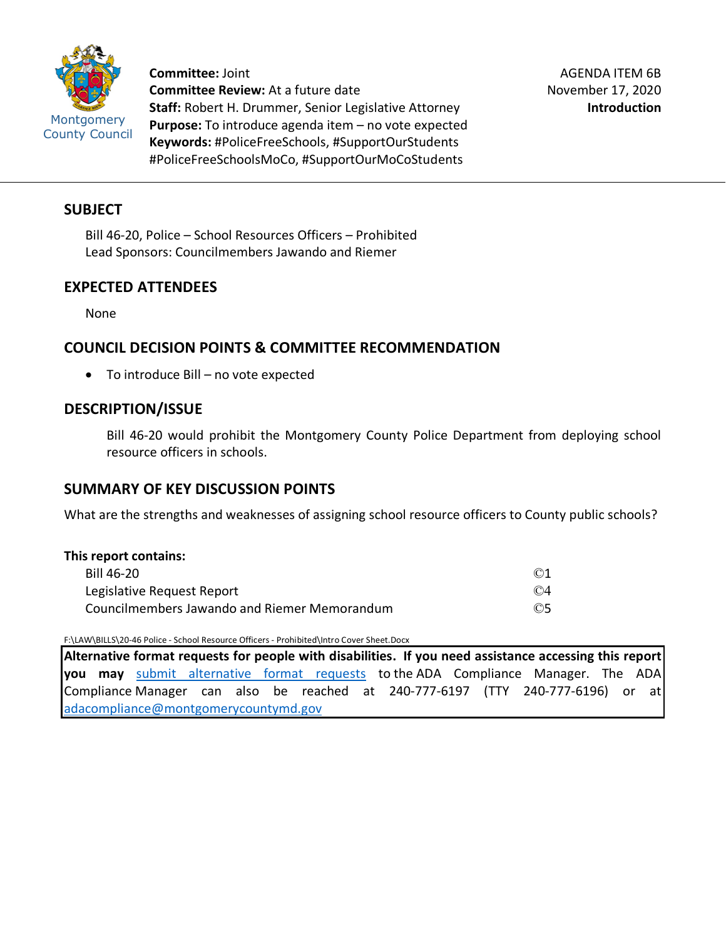

**Committee:** Joint **Committee Review:** At a future date **Staff:** Robert H. Drummer, Senior Legislative Attorney **Purpose:** To introduce agenda item – no vote expected **Keywords:** #PoliceFreeSchools, #SupportOurStudents #PoliceFreeSchoolsMoCo, #SupportOurMoCoStudents

### **SUBJECT**

Bill 46-20, Police – School Resources Officers – Prohibited Lead Sponsors: Councilmembers Jawando and Riemer

# **EXPECTED ATTENDEES**

None

# **COUNCIL DECISION POINTS & COMMITTEE RECOMMENDATION**

• To introduce Bill – no vote expected

## **DESCRIPTION/ISSUE**

Bill 46-20 would prohibit the Montgomery County Police Department from deploying school resource officers in schools.

# **SUMMARY OF KEY DISCUSSION POINTS**

What are the strengths and weaknesses of assigning school resource officers to County public schools?

### **This report contains:**

| Bill 46-20                                   | $\odot$ 1        |
|----------------------------------------------|------------------|
| Legislative Request Report                   | $\odot$ 4        |
| Councilmembers Jawando and Riemer Memorandum | $\circledcirc$ 5 |

F:\LAW\BILLS\20-46 Police - School Resource Officers - Prohibited\Intro Cover Sheet.Docx

**Alternative format requests for people with disabilities. If you need assistance accessing this report you may** [submit alternative format requests](https://gcc01.safelinks.protection.outlook.com/?url=http%3A%2F%2Fwww2.montgomerycountymd.gov%2Fmcgportalapps%2FAccessibilityForm.aspx&data=02%7C01%7Csandra.marin%40montgomerycountymd.gov%7C79d44e803a8846df027008d6ad4e4d1b%7C6e01b1f9b1e54073ac97778069a0ad64%7C0%7C0%7C636886950086244453&sdata=AT2lwLz22SWBJ8c92gXfspY8lQVeGCrUbqSPzpYheB0%3D&reserved=0) to the ADA Compliance Manager. The ADA Compliance Manager can also be reached at 240-777-6197 (TTY 240-777-6196) or at [adacompliance@montgomerycountymd.gov](mailto:adacompliance@montgomerycountymd.gov)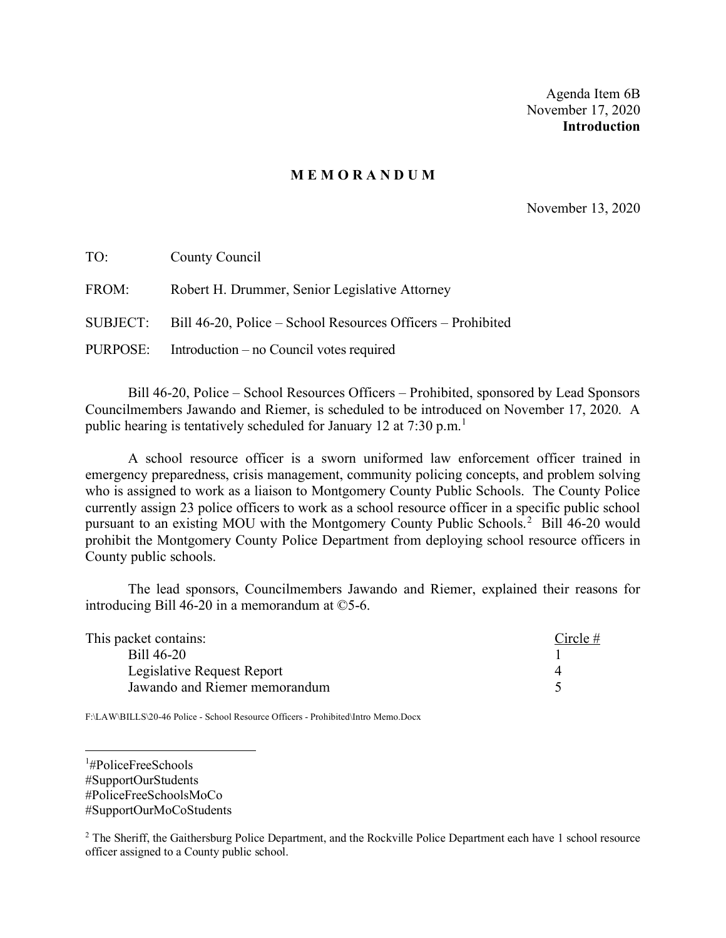Agenda Item 6B November 17, 2020 **Introduction**

#### **M E M O R A N D U M**

November 13, 2020

| TO:   | County Council                                                       |
|-------|----------------------------------------------------------------------|
| FROM: | Robert H. Drummer, Senior Legislative Attorney                       |
|       | SUBJECT: Bill 46-20, Police – School Resources Officers – Prohibited |
|       | PURPOSE: Introduction – no Council votes required                    |

Bill 46-20, Police – School Resources Officers – Prohibited, sponsored by Lead Sponsors Councilmembers Jawando and Riemer, is scheduled to be introduced on November 17, 2020. A public hearing is tentatively scheduled for January [1](#page-1-0)2 at  $7:30$  p.m.<sup>1</sup>

A school resource officer is a sworn uniformed law enforcement officer trained in emergency preparedness, crisis management, community policing concepts, and problem solving who is assigned to work as a liaison to Montgomery County Public Schools. The County Police currently assign 23 police officers to work as a school resource officer in a specific public school pursuant to an existing MOU with the Montgomery County Public Schools.<sup>[2](#page-1-1)</sup> Bill 46-20 would prohibit the Montgomery County Police Department from deploying school resource officers in County public schools.

The lead sponsors, Councilmembers Jawando and Riemer, explained their reasons for introducing Bill 46-20 in a memorandum at ©5-6.

| This packet contains:         | $Circle \#$ |
|-------------------------------|-------------|
| Bill 46-20                    |             |
| Legislative Request Report    |             |
| Jawando and Riemer memorandum |             |

F:\LAW\BILLS\20-46 Police - School Resource Officers - Prohibited\Intro Memo.Docx

<span id="page-1-0"></span>1 #PoliceFreeSchools #SupportOurStudents #PoliceFreeSchoolsMoCo #SupportOurMoCoStudents

<span id="page-1-1"></span><sup>2</sup> The Sheriff, the Gaithersburg Police Department, and the Rockville Police Department each have 1 school resource officer assigned to a County public school.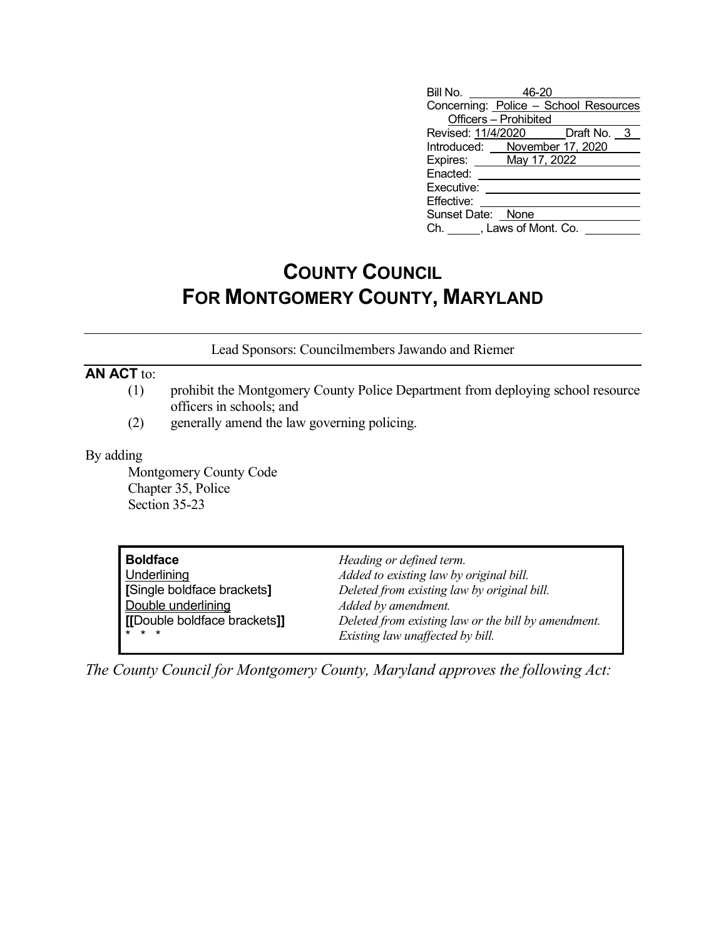| Bill No. 46-20                        |  |  |
|---------------------------------------|--|--|
| Concerning: Police - School Resources |  |  |
| Officers - Prohibited                 |  |  |
| Revised: 11/4/2020   Draft No. 3      |  |  |
| Introduced: November 17, 2020         |  |  |
| Expires: May 17, 2022                 |  |  |
| Enacted:                              |  |  |
| Executive:                            |  |  |
| Effective:                            |  |  |
| Sunset Date: None                     |  |  |
| Ch. J. Laws of Mont. Co.              |  |  |

# **COUNTY COUNCIL FOR MONTGOMERY COUNTY, MARYLAND**

Lead Sponsors: Councilmembers Jawando and Riemer

# **AN ACT** to:

- (1) prohibit the Montgomery County Police Department from deploying school resource officers in schools; and
- (2) generally amend the law governing policing.

### By adding

Montgomery County Code Chapter 35, Police Section 35-23

| <b>Boldface</b>              | Heading or defined term.                            |
|------------------------------|-----------------------------------------------------|
| Underlining                  | Added to existing law by original bill.             |
| Single boldface brackets]    | Deleted from existing law by original bill.         |
| Double underlining           | Added by amendment.                                 |
| [[Double boldface brackets]] | Deleted from existing law or the bill by amendment. |
| $* * *$                      | Existing law unaffected by bill.                    |

*The County Council for Montgomery County, Maryland approves the following Act:*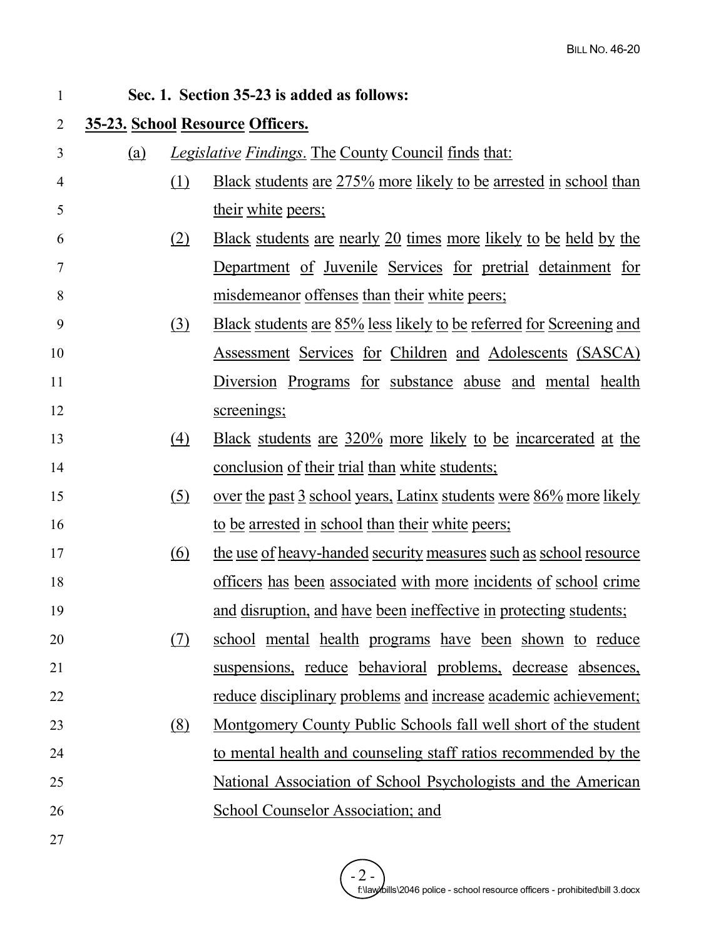| $\mathbf{1}$   |            |                   | Sec. 1. Section 35-23 is added as follows:                                 |
|----------------|------------|-------------------|----------------------------------------------------------------------------|
| $\overline{2}$ |            |                   | 35-23. School Resource Officers.                                           |
| 3              | <u>(a)</u> |                   | <i>Legislative Findings.</i> The County Council finds that:                |
| 4              |            | (1)               | Black students are 275% more likely to be arrested in school than          |
| 5              |            |                   | <u>their white peers;</u>                                                  |
| 6              |            | (2)               | <u>Black students are nearly 20 times more likely to be held by the</u>    |
| $\tau$         |            |                   | Department of Juvenile Services for pretrial detainment for                |
| 8              |            |                   | <u>misdemeanor offenses than their white peers;</u>                        |
| 9              |            | (3)               | <u>Black students are 85% less likely to be referred for Screening and</u> |
| 10             |            |                   | <u>Assessment Services for Children and Adolescents (SASCA)</u>            |
| 11             |            |                   | Diversion Programs for substance abuse and mental health                   |
| 12             |            |                   | screenings;                                                                |
| 13             |            | $\left(4\right)$  | <u>Black students are 320% more likely to be incarcerated at the</u>       |
| 14             |            |                   | <u>conclusion of their trial than white students;</u>                      |
| 15             |            | $\left( 5\right)$ | <u>over the past 3 school years, Latinx students were 86% more likely</u>  |
| 16             |            |                   | to be arrested in school than their white peers;                           |
| 17             |            | <u>(6)</u>        | the use of heavy-handed security measures such as school resource          |
| 18             |            |                   | <u>officers has been associated with more incidents of school crime</u>    |
| 19             |            |                   | and disruption, and have been ineffective in protecting students;          |
| 20             |            | (7)               | school mental health programs have been shown to reduce                    |
| 21             |            |                   | suspensions, reduce behavioral problems, decrease absences,                |
| 22             |            |                   | <u>reduce disciplinary problems and increase academic achievement;</u>     |
| 23             |            | (8)               | <u>Montgomery County Public Schools fall well short of the student</u>     |
| 24             |            |                   | to mental health and counseling staff ratios recommended by the            |
| 25             |            |                   | National Association of School Psychologists and the American              |
| 26             |            |                   | <b>School Counselor Association; and</b>                                   |
| 27             |            |                   |                                                                            |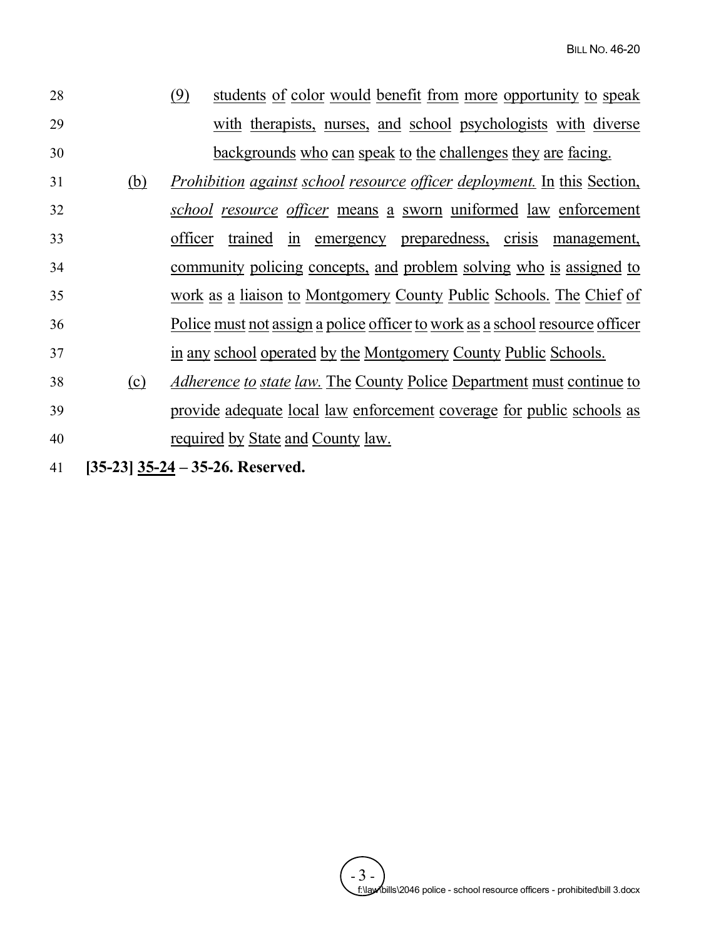| 28 |            | (9)<br>students of color would benefit from more opportunity to speak           |
|----|------------|---------------------------------------------------------------------------------|
| 29 |            | with therapists, nurses, and school psychologists with diverse                  |
| 30 |            | backgrounds who can speak to the challenges they are facing.                    |
| 31 | <u>(b)</u> | <i>Prohibition against school resource officer deployment.</i> In this Section, |
| 32 |            | school resource officer means a sworn uniformed law enforcement                 |
| 33 |            | trained in emergency preparedness, crisis management,<br>officer                |
| 34 |            | community policing concepts, and problem solving who is assigned to             |
| 35 |            | work as a liaison to Montgomery County Public Schools. The Chief of             |
| 36 |            | Police must not assign a police officer to work as a school resource officer    |
| 37 |            | in any school operated by the Montgomery County Public Schools.                 |
| 38 | (c)        | <i>Adherence to state law.</i> The County Police Department must continue to    |
| 39 |            | provide adequate local law enforcement coverage for public schools as           |
| 40 |            | required by State and County law.                                               |
|    |            |                                                                                 |

41 **[35-23] 35-24 – 35-26. Reserved.**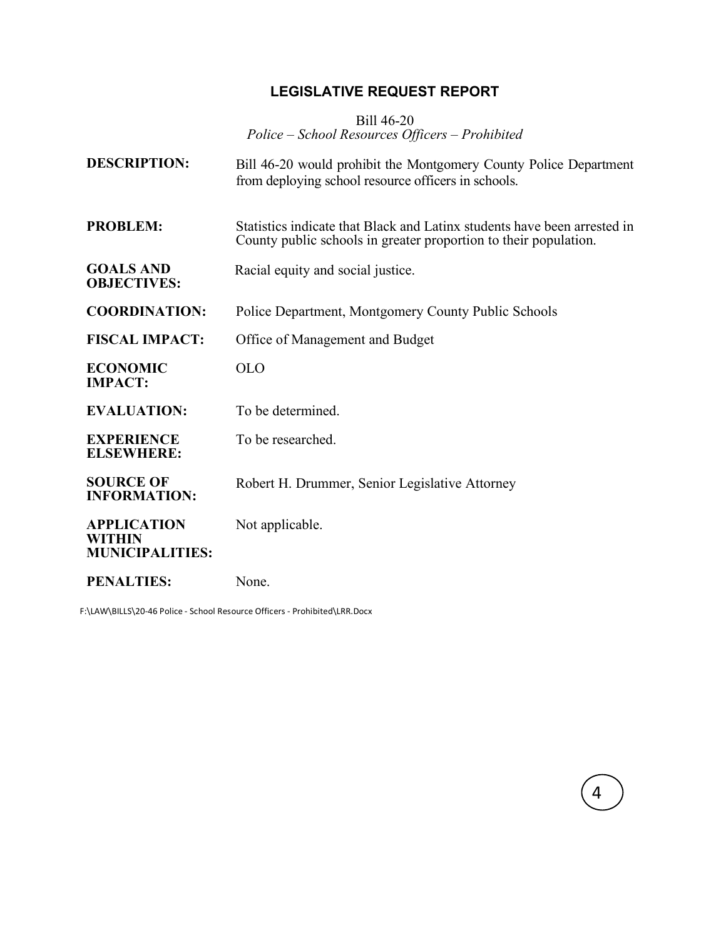# **LEGISLATIVE REQUEST REPORT**

Bill 46-20 *Police – School Resources Officers – Prohibited*

| <b>DESCRIPTION:</b>                                    | Bill 46-20 would prohibit the Montgomery County Police Department<br>from deploying school resource officers in schools.                     |
|--------------------------------------------------------|----------------------------------------------------------------------------------------------------------------------------------------------|
| <b>PROBLEM:</b>                                        | Statistics indicate that Black and Latinx students have been arrested in<br>County public schools in greater proportion to their population. |
| <b>GOALS AND</b><br><b>OBJECTIVES:</b>                 | Racial equity and social justice.                                                                                                            |
| <b>COORDINATION:</b>                                   | Police Department, Montgomery County Public Schools                                                                                          |
| <b>FISCAL IMPACT:</b>                                  | Office of Management and Budget                                                                                                              |
| <b>ECONOMIC</b><br><b>IMPACT:</b>                      | <b>OLO</b>                                                                                                                                   |
| <b>EVALUATION:</b>                                     | To be determined.                                                                                                                            |
| <b>EXPERIENCE</b><br><b>ELSEWHERE:</b>                 | To be researched.                                                                                                                            |
| <b>SOURCE OF</b><br><b>INFORMATION:</b>                | Robert H. Drummer, Senior Legislative Attorney                                                                                               |
| <b>APPLICATION</b><br>WITHIN<br><b>MUNICIPALITIES:</b> | Not applicable.                                                                                                                              |
| <b>PENALTIES:</b>                                      | None.                                                                                                                                        |

4

F:\LAW\BILLS\20-46 Police - School Resource Officers - Prohibited\LRR.Docx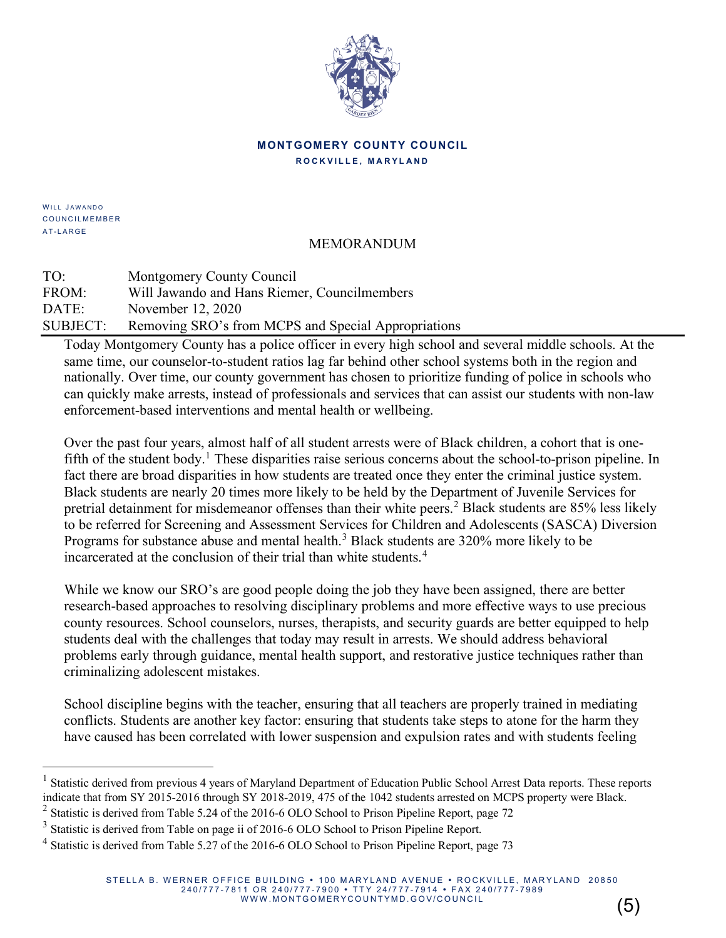

### **MONTGOMERY COUNTY COUNCIL ROCKVILLE, MARYLAND**

WILL JAWANDO COUNCILMEMBER A T- LARGE

# MEMORANDUM

TO: Montgomery County Council FROM: Will Jawando and Hans Riemer, Councilmembers DATE: November 12, 2020 SUBJECT: Removing SRO's from MCPS and Special Appropriations

Today Montgomery County has a police officer in every high school and several middle schools. At the same time, our counselor-to-student ratios lag far behind other school systems both in the region and nationally. Over time, our county government has chosen to prioritize funding of police in schools who can quickly make arrests, instead of professionals and services that can assist our students with non-law enforcement-based interventions and mental health or wellbeing.

Over the past four years, almost half of all student arrests were of Black children, a cohort that is one-fifth of the student body.<sup>[1](#page-6-0)</sup> These disparities raise serious concerns about the school-to-prison pipeline. In fact there are broad disparities in how students are treated once they enter the criminal justice system. Black students are nearly 20 times more likely to be held by the Department of Juvenile Services for pretrial detainment for misdemeanor offenses than their white peers.<sup>[2](#page-6-1)</sup> Black students are 85% less likely to be referred for Screening and Assessment Services for Children and Adolescents (SASCA) Diversion Programs for substance abuse and mental health.<sup>[3](#page-6-2)</sup> Black students are 320% more likely to be incarcerated at the conclusion of their trial than white students.<sup>[4](#page-6-3)</sup>

While we know our SRO's are good people doing the job they have been assigned, there are better research-based approaches to resolving disciplinary problems and more effective ways to use precious county resources. School counselors, nurses, therapists, and security guards are better equipped to help students deal with the challenges that today may result in arrests. We should address behavioral problems early through guidance, mental health support, and restorative justice techniques rather than criminalizing adolescent mistakes.

School discipline begins with the teacher, ensuring that all teachers are properly trained in mediating conflicts. Students are another key factor: ensuring that students take steps to atone for the harm they have caused has been correlated with lower suspension and expulsion rates and with students feeling

(5)

<span id="page-6-0"></span><sup>&</sup>lt;sup>1</sup> Statistic derived from previous 4 years of Maryland Department of Education Public School Arrest Data reports. These reports indicate that from SY 2015-2016 through SY 2018-2019, 475 of the 1042 students arrested on MCPS property were Black.

<span id="page-6-1"></span><sup>&</sup>lt;sup>2</sup> Statistic is derived from Table 5.24 of the 2016-6 OLO School to Prison Pipeline Report, page 72

<span id="page-6-2"></span><sup>&</sup>lt;sup>3</sup> Statistic is derived from Table on page ii of 2016-6 OLO School to Prison Pipeline Report.

<span id="page-6-3"></span><sup>&</sup>lt;sup>4</sup> Statistic is derived from Table 5.27 of the 2016-6 OLO School to Prison Pipeline Report, page 73